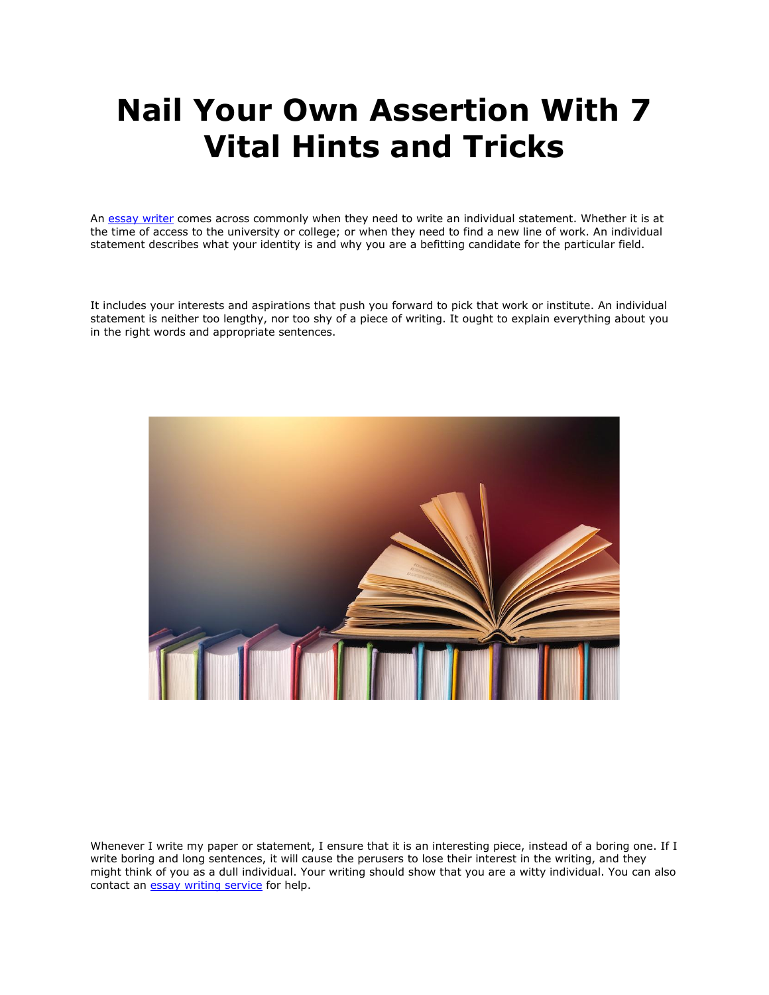## **Nail Your Own Assertion With 7 Vital Hints and Tricks**

An [essay writer](https://essayhours.com/) comes across commonly when they need to write an individual statement. Whether it is at the time of access to the university or college; or when they need to find a new line of work. An individual statement describes what your identity is and why you are a befitting candidate for the particular field.

It includes your interests and aspirations that push you forward to pick that work or institute. An individual statement is neither too lengthy, nor too shy of a piece of writing. It ought to explain everything about you in the right words and appropriate sentences.



Whenever I write my paper or statement, I ensure that it is an interesting piece, instead of a boring one. If I write boring and long sentences, it will cause the perusers to lose their interest in the writing, and they might think of you as a dull individual. Your writing should show that you are a witty individual. You can also contact an **[essay writing service](https://www.essaywritingservice.college/)** for help.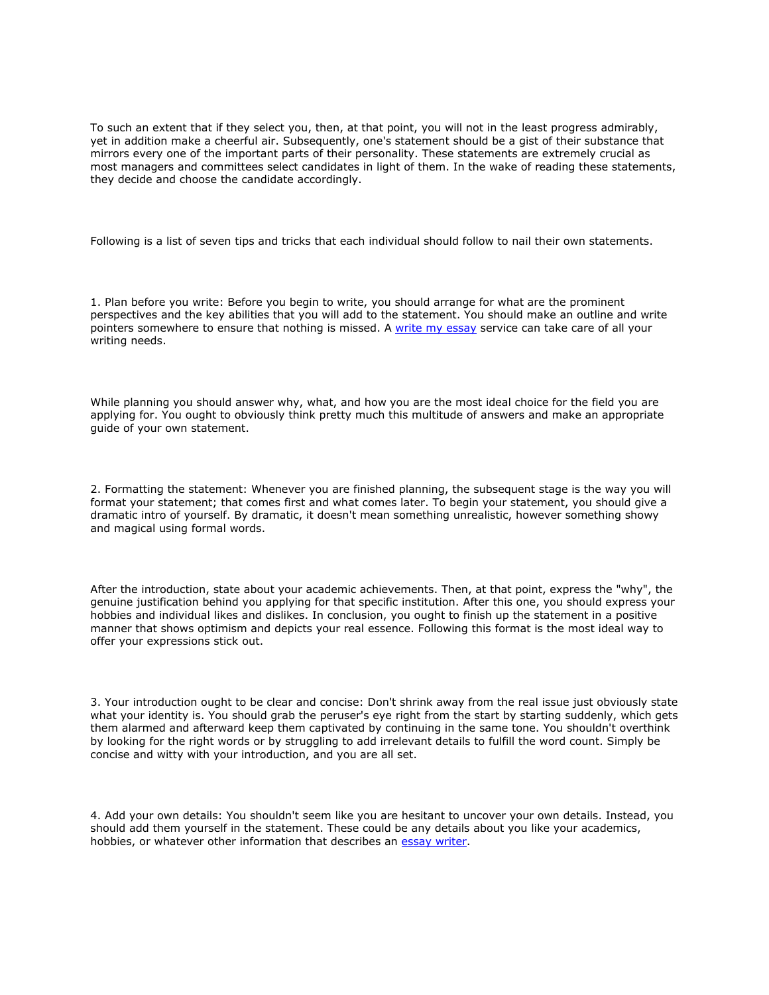To such an extent that if they select you, then, at that point, you will not in the least progress admirably, yet in addition make a cheerful air. Subsequently, one's statement should be a gist of their substance that mirrors every one of the important parts of their personality. These statements are extremely crucial as most managers and committees select candidates in light of them. In the wake of reading these statements, they decide and choose the candidate accordingly.

Following is a list of seven tips and tricks that each individual should follow to nail their own statements.

1. Plan before you write: Before you begin to write, you should arrange for what are the prominent perspectives and the key abilities that you will add to the statement. You should make an outline and write pointers somewhere to ensure that nothing is missed. A [write my essay](https://writemyessayfast.net/) service can take care of all your writing needs.

While planning you should answer why, what, and how you are the most ideal choice for the field you are applying for. You ought to obviously think pretty much this multitude of answers and make an appropriate guide of your own statement.

2. Formatting the statement: Whenever you are finished planning, the subsequent stage is the way you will format your statement; that comes first and what comes later. To begin your statement, you should give a dramatic intro of yourself. By dramatic, it doesn't mean something unrealistic, however something showy and magical using formal words.

After the introduction, state about your academic achievements. Then, at that point, express the "why", the genuine justification behind you applying for that specific institution. After this one, you should express your hobbies and individual likes and dislikes. In conclusion, you ought to finish up the statement in a positive manner that shows optimism and depicts your real essence. Following this format is the most ideal way to offer your expressions stick out.

3. Your introduction ought to be clear and concise: Don't shrink away from the real issue just obviously state what your identity is. You should grab the peruser's eye right from the start by starting suddenly, which gets them alarmed and afterward keep them captivated by continuing in the same tone. You shouldn't overthink by looking for the right words or by struggling to add irrelevant details to fulfill the word count. Simply be concise and witty with your introduction, and you are all set.

4. Add your own details: You shouldn't seem like you are hesitant to uncover your own details. Instead, you should add them yourself in the statement. These could be any details about you like your academics, hobbies, or whatever other information that describes an [essay writer.](https://www.essaywriter.college/)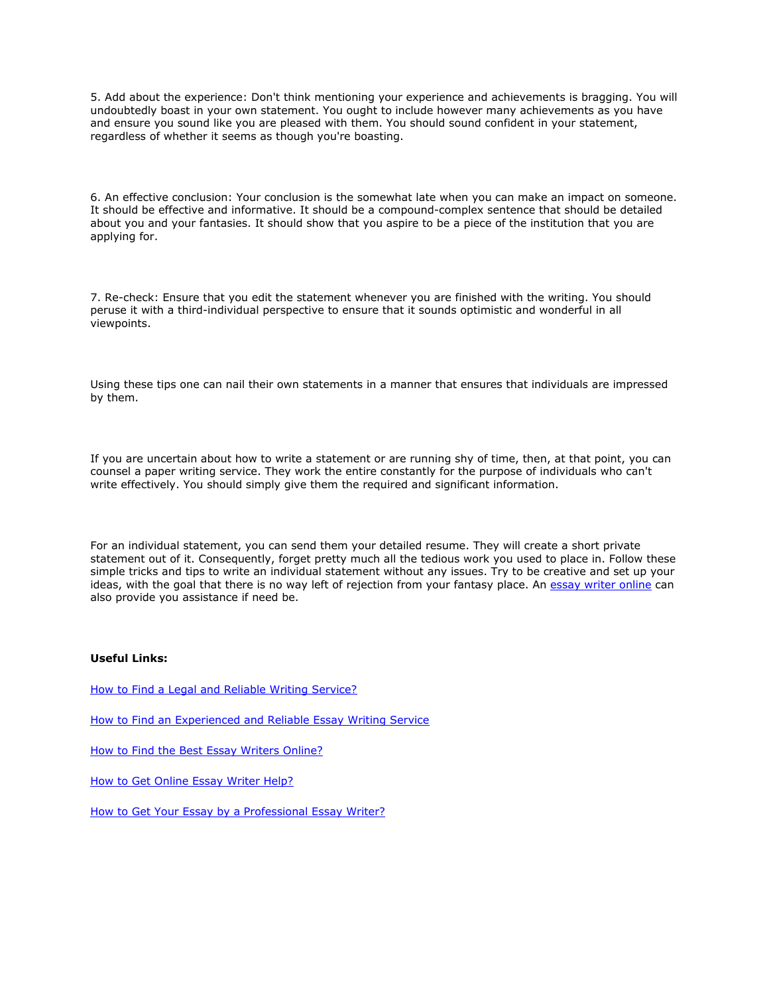5. Add about the experience: Don't think mentioning your experience and achievements is bragging. You will undoubtedly boast in your own statement. You ought to include however many achievements as you have and ensure you sound like you are pleased with them. You should sound confident in your statement, regardless of whether it seems as though you're boasting.

6. An effective conclusion: Your conclusion is the somewhat late when you can make an impact on someone. It should be effective and informative. It should be a compound-complex sentence that should be detailed about you and your fantasies. It should show that you aspire to be a piece of the institution that you are applying for.

7. Re-check: Ensure that you edit the statement whenever you are finished with the writing. You should peruse it with a third-individual perspective to ensure that it sounds optimistic and wonderful in all viewpoints.

Using these tips one can nail their own statements in a manner that ensures that individuals are impressed by them.

If you are uncertain about how to write a statement or are running shy of time, then, at that point, you can counsel a paper writing service. They work the entire constantly for the purpose of individuals who can't write effectively. You should simply give them the required and significant information.

For an individual statement, you can send them your detailed resume. They will create a short private statement out of it. Consequently, forget pretty much all the tedious work you used to place in. Follow these simple tricks and tips to write an individual statement without any issues. Try to be creative and set up your ideas, with the goal that there is no way left of rejection from your fantasy place. An [essay writer online](https://essaywriternow.com/) can also provide you assistance if need be.

## **Useful Links:**

[How to Find a Legal and Reliable Writing Service?](https://theessaywritingservice.com/essay-writing-service/how-to-find-a-legal-and-reliable-writing-service)

[How to Find an Experienced and Reliable Essay Writing Service](https://essaywriternow.com/essay-writing-service/how-to-find-an-experienced-and-reliable-essay-writing-service)

[How to Find the Best Essay Writers Online?](https://writemyessayfast.net/essay-writer/how-to-find-the-best-essay-writers-online)

[How to Get Online Essay Writer Help?](https://writemyessayfast.net/essay-writer/how-to-get-online-essay-writer-help)

[How to Get Your Essay by a Professional Essay Writer?](https://youressaywriter.net/essay-writer/how-to-get-your-essay-by-a-professional-essay-writer)